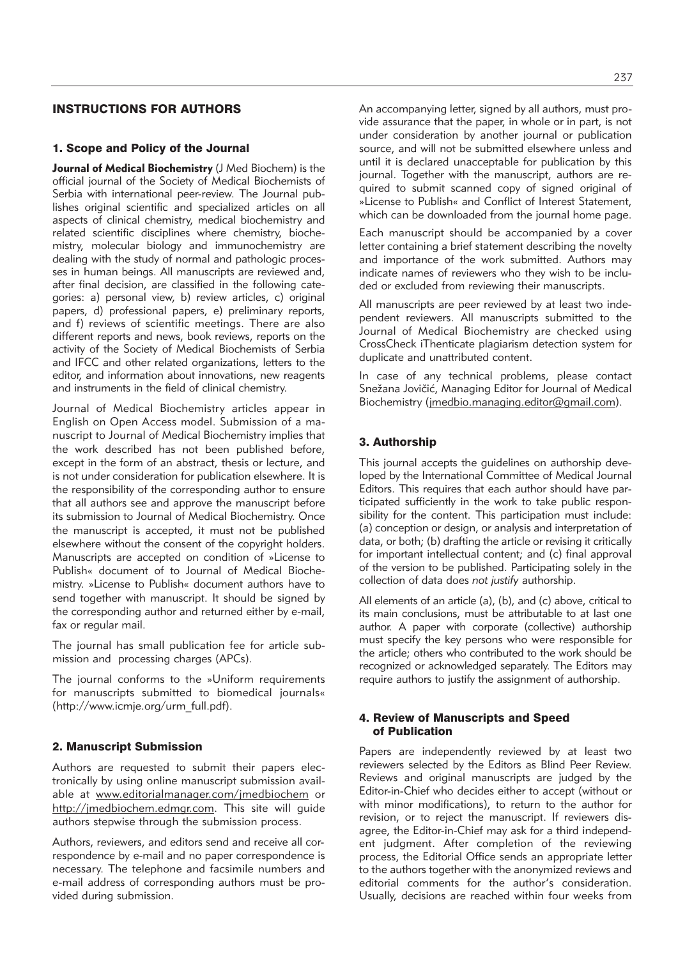## INSTRUCTIONS FOR AUTHORS

### 1. Scope and Policy of the Journal

**Journal of Medical Biochemistry** (J Med Biochem) is the official journal of the Society of Medical Biochemists of Serbia with international peer-review. The Journal publishes original scientific and specialized articles on all aspects of clinical chemistry, medical biochemistry and related scientific disciplines where chemistry, biochemistry, molecular biology and immunochemistry are dealing with the study of normal and pathologic processes in human beings. All manuscripts are reviewed and, after final decision, are classified in the following categories: a) personal view, b) review articles, c) original papers, d) professional papers, e) preliminary reports, and f) reviews of scientific meetings. There are also different reports and news, book reviews, reports on the activity of the Society of Medical Biochemists of Serbia and IFCC and other related organizations, letters to the editor, and information about innovations, new reagents and instruments in the field of clinical chemistry.

Journal of Medical Biochemistry articles appear in English on Open Access model. Submission of a manu script to Journal of Medical Biochemistry implies that the work described has not been published before, except in the form of an abstract, thesis or lecture, and is not under consideration for publication elsewhere. It is the responsibility of the corresponding author to ensure that all authors see and approve the manuscript before its submission to Journal of Medical Biochemistry. Once the manuscript is accepted, it must not be published elsewhere without the consent of the copyright holders. Manuscripts are accepted on condition of »License to Publish« document of to Journal of Medical Biochemistry. »License to Publish« document authors have to send together with manuscript. It should be signed by the corresponding author and returned either by e-mail, fax or regular mail.

The journal has small publication fee for article submission and processing charges (APCs).

The journal conforms to the »Uniform requirements for manuscripts submitted to biomedical journals« (http://www.icmje.org/urm\_full.pdf).

#### 2. Manuscript Submission

Authors are requested to submit their papers electronically by using online manuscript submission available at www.editorialmanager.com/jmedbiochem or http://jmedbiochem.edmgr.com. This site will guide authors stepwise through the submission process.

Authors, reviewers, and editors send and receive all correspondence by e-mail and no paper correspondence is necessary. The telephone and facsimile numbers and e-mail address of corresponding authors must be provided during submission.

An accompanying letter, signed by all authors, must provide assurance that the paper, in whole or in part, is not under consideration by another journal or publication source, and will not be submitted elsewhere unless and until it is declared unacceptable for publication by this journal. Together with the manuscript, authors are required to submit scanned copy of signed original of »License to Publish« and Conflict of Interest Statement, which can be downloaded from the journal home page.

Each manuscript should be accompanied by a cover letter containing a brief statement describing the novelty and importance of the work submitted. Authors may indicate names of reviewers who they wish to be included or excluded from reviewing their manuscripts.

All manuscripts are peer reviewed by at least two independent reviewers. All manuscripts submitted to the Journal of Medical Biochemistry are checked using CrossCheck iThenticate plagiarism detection system for duplicate and unattributed content.

In case of any technical problems, please contact Snežana Jovičić, Managing Editor for Journal of Medical Biochemistry (jmedbio.managing.editor@gmail.com).

### 3. Authorship

This journal accepts the guidelines on authorship developed by the International Committee of Medical Journal Editors. This requires that each author should have participated sufficiently in the work to take public responsibility for the content. This participation must include: (a) conception or design, or analysis and interpretation of data, or both; (b) drafting the article or revising it critically for important intellectual content; and (c) final approval of the version to be published. Participating solely in the collection of data does *not justify* authorship.

All elements of an article (a), (b), and (c) above, critical to its main conclusions, must be attributable to at last one author. A paper with corporate (collective) authorship must specify the key persons who were responsible for the article; others who contributed to the work should be re cognized or acknowledged separately. The Editors may require authors to justify the assignment of authorship.

### 4. Review of Manuscripts and Speed of Publication

Papers are independently reviewed by at least two reviewers selected by the Editors as Blind Peer Review. Reviews and original manuscripts are judged by the Editor-in-Chief who decides either to accept (without or with minor modifications), to return to the author for revision, or to reject the manuscript. If reviewers disagree, the Editor-in-Chief may ask for a third independent judgment. After completion of the reviewing process, the Editorial Office sends an appropriate letter to the authors together with the anonymized reviews and editorial comments for the author's consideration. Usually, decisions are reached within four weeks from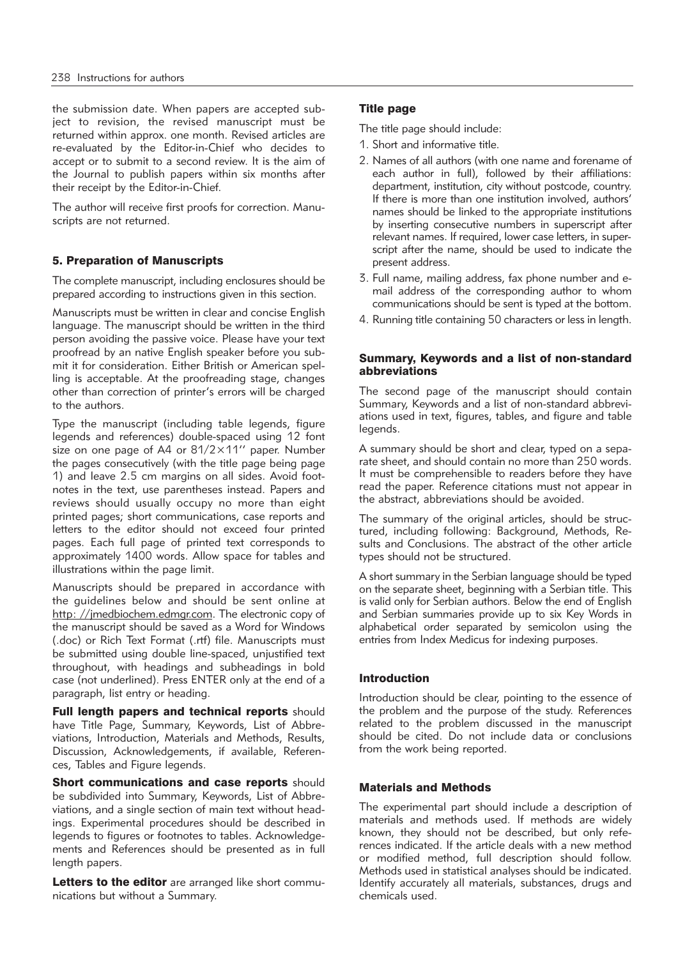the submission date. When papers are accepted subject to revision, the revised manuscript must be returned within approx. one month. Revised articles are re-evaluated by the Editor-in-Chief who decides to accept or to submit to a second review. It is the aim of the Journal to publish papers within six months after their receipt by the Editor-in-Chief.

The author will receive first proofs for correction. Manuscripts are not returned.

## 5. Preparation of Manuscripts

The complete manuscript, including enclosures should be prepared according to instructions given in this section.

Manuscripts must be written in clear and concise English language. The manuscript should be written in the third person avoiding the passive voice. Please have your text proofread by an native English speaker before you submit it for consideration. Either British or American spelling is acceptable. At the proofreading stage, changes other than correction of printer's errors will be charged to the authors.

Type the manuscript (including table legends, figure legends and references) double-spaced using 12 font size on one page of A4 or 81/2×11'' paper. Number the pages consecutively (with the title page being page 1) and leave 2.5 cm margins on all sides. Avoid footnotes in the text, use parentheses instead. Papers and reviews should usually occupy no more than eight printed pages; short communications, case reports and letters to the editor should not exceed four printed pages. Each full page of printed text corresponds to approximately 1400 words. Allow space for tables and illustrations within the page limit.

Manuscripts should be prepared in accordance with the guidelines below and should be sent online at http: //jmedbiochem.edmgr.com. The electronic copy of the manuscript should be saved as a Word for Windows (.doc) or Rich Text Format (.rtf) file. Manuscripts must be submitted using double line-spaced, unjustified text throughout, with headings and subheadings in bold case (not underlined). Press ENTER only at the end of a paragraph, list entry or heading.

Full length papers and technical reports should have Title Page, Summary, Keywords, List of Abbreviations, Introduction, Materials and Methods, Results, Discussion, Acknowledgements, if available, References, Tables and Figure legends.

**Short communications and case reports should** be subdivided into Summary, Keywords, List of Abbreviations, and a single section of main text without headings. Experimental procedures should be described in legends to figures or footnotes to tables. Acknowledgements and References should be presented as in full length papers.

Letters to the editor are arranged like short communications but without a Summary.

## Title page

The title page should include:

- 1. Short and informative title.
- 2. Names of all authors (with one name and forename of each author in full), followed by their affiliations: department, institution, city without postcode, country. If there is more than one institution involved, authors' names should be linked to the appropriate institutions by inserting consecutive numbers in superscript after relevant names. If required, lower case letters, in superscript after the name, should be used to indicate the present address.
- 3. Full name, mailing address, fax phone number and email address of the corresponding author to whom communications should be sent is typed at the bottom.
- 4. Running title containing 50 characters or less in length.

### Summary, Keywords and a list of non-standard abbreviations

The second page of the manuscript should contain Summary, Keywords and a list of non-standard abbreviations used in text, figures, tables, and figure and table legends.

A summary should be short and clear, typed on a separate sheet, and should contain no more than 250 words. It must be comprehensible to readers before they have read the paper. Reference citations must not appear in the abstract, abbreviations should be avoided.

The summary of the original articles, should be structured, including following: Background, Methods, Results and Conclusions. The abstract of the other article types should not be structured.

A short summary in the Serbian language should be typed on the separate sheet, beginning with a Serbian title. This is valid only for Serbian authors. Below the end of English and Serbian summaries provide up to six Key Words in alphabetical order separated by semicolon using the entries from Index Medicus for indexing purposes.

## Introduction

Introduction should be clear, pointing to the essence of the problem and the purpose of the study. References related to the problem discussed in the manuscript should be cited. Do not include data or conclusions from the work being reported.

### Materials and Methods

The experimental part should include a description of materials and methods used. If methods are widely known, they should not be described, but only references indicated. If the article deals with a new method or modified method, full description should follow. Methods used in statistical analyses should be indicated. Identify accurately all materials, substances, drugs and chemicals used.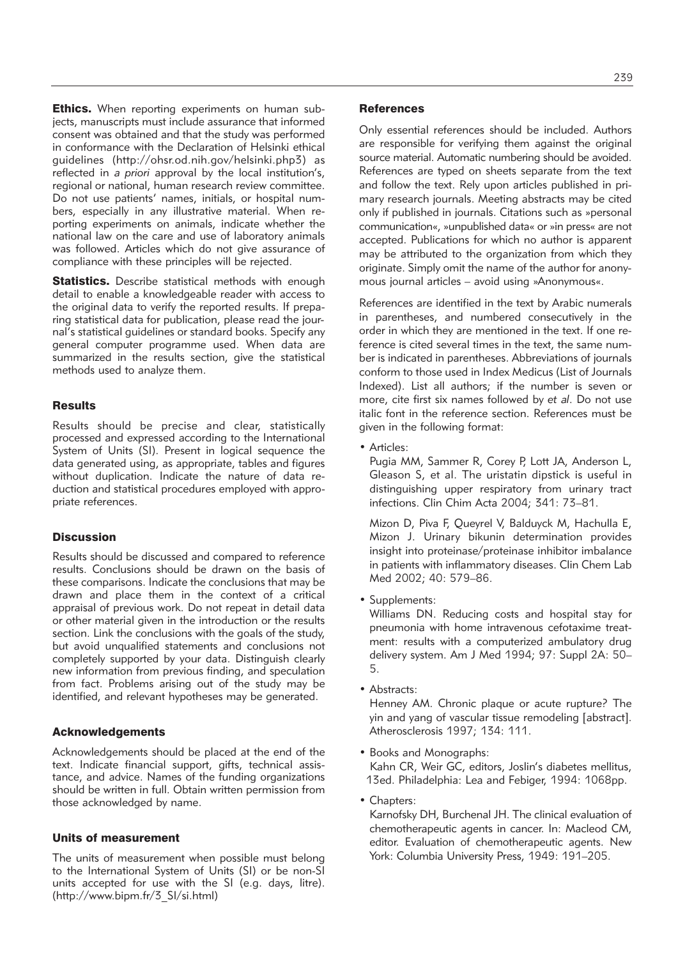**Ethics.** When reporting experiments on human subjects, manuscripts must include assurance that informed consent was obtained and that the study was performed in conformance with the Declaration of Helsinki ethical guidelines (http://ohsr.od.nih.gov/helsinki.php3) as reflected in *a priori* approval by the local institution's, regional or national, human research review committee. Do not use patients' names, initials, or hospital numbers, especially in any illustrative material. When reporting experiments on animals, indicate whether the national law on the care and use of laboratory animals was followed. Articles which do not give assurance of compliance with these principles will be rejected.

**Statistics.** Describe statistical methods with enough detail to enable a knowledgeable reader with access to the original data to verify the reported results. If preparing statistical data for publication, please read the journal's statistical guidelines or standard books. Specify any general computer programme used. When data are summarized in the results section, give the statistical methods used to analyze them.

#### **Results**

Results should be precise and clear, statistically processed and expressed according to the International System of Units (SI). Present in logical sequence the data generated using, as appropriate, tables and figures without duplication. Indicate the nature of data reduction and statistical procedures employed with appropriate references.

## **Discussion**

Results should be discussed and compared to reference results. Conclusions should be drawn on the basis of these comparisons. Indicate the conclusions that may be drawn and place them in the context of a critical appraisal of previous work. Do not repeat in detail data or other material given in the introduction or the results section. Link the conclusions with the goals of the study, but avoid unqualified statements and conclusions not completely supported by your data. Distinguish clearly new information from previous finding, and speculation from fact. Problems arising out of the study may be identified, and relevant hypotheses may be generated.

#### Acknowledgements

Acknowledgements should be placed at the end of the text. Indicate financial support, gifts, technical assistance, and advice. Names of the funding organizations should be written in full. Obtain written permission from those acknowledged by name.

#### Units of measurement

The units of measurement when possible must belong to the International System of Units (SI) or be non-SI units accepted for use with the SI (e.g. days, litre). (http://www.bipm.fr/3\_SI/si.html)

#### **References**

Only essential references should be included. Authors are responsible for verifying them against the original source material. Automatic numbering should be avoided. References are typed on sheets separate from the text and follow the text. Rely upon articles published in primary research journals. Meeting abstracts may be cited only if published in journals. Citations such as »personal communication«, »unpublished data« or »in press« are not accepted. Publications for which no author is apparent may be attributed to the organization from which they originate. Simply omit the name of the author for anonymous journal articles – avoid using »Anonymous«.

References are identified in the text by Arabic numerals in parentheses, and numbered consecutively in the order in which they are mentioned in the text. If one reference is cited several times in the text, the same number is indicated in parentheses. Abbreviations of journals conform to those used in Index Medicus (List of Journals Indexed). List all authors; if the number is seven or more, cite first six names followed by *et al*. Do not use italic font in the reference section. References must be given in the following format:

• Articles:

Pugia MM, Sammer R, Corey P, Lott JA, Anderson L, Gleason S, et al. The uristatin dipstick is useful in distinguishing upper respiratory from urinary tract infections. Clin Chim Acta 2004; 341: 73–81.

Mizon D, Piva F, Queyrel V, Balduyck M, Hachulla E, Mizon J. Urinary bikunin determination provides insight into proteinase/proteinase inhibitor imbalance in patients with inflammatory diseases. Clin Chem Lab Med 2002; 40: 579–86.

• Supplements:

Williams DN. Reducing costs and hospital stay for pneumonia with home intravenous cefotaxime treatment: results with a computerized ambulatory drug delivery system. Am J Med 1994; 97: Suppl 2A: 50– 5.

• Abstracts:

Henney AM. Chronic plaque or acute rupture? The yin and yang of vascular tissue remodeling [abstract]. Atherosclerosis 1997; 134: 111.

• Books and Monographs:

Kahn CR, Weir GC, editors, Joslin's diabetes mellitus, 13ed. Philadelphia: Lea and Febiger, 1994: 1068pp.

• Chapters:

Karnofsky DH, Burchenal JH. The clinical evaluation of chemotherapeutic agents in cancer. In: Macleod CM, editor. Evaluation of chemotherapeutic agents. New York: Columbia University Press, 1949: 191–205.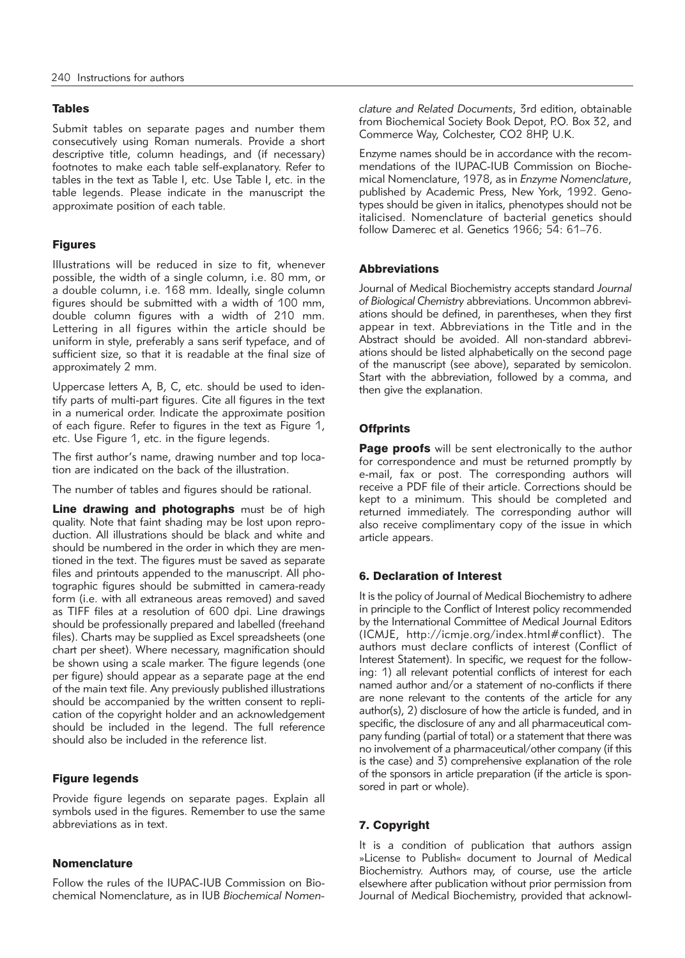## Tables

Submit tables on separate pages and number them consecutively using Roman numerals. Provide a short descriptive title, column headings, and (if necessary) footnotes to make each table self-explanatory. Refer to tables in the text as Table I, etc. Use Table I, etc. in the table legends. Please indicate in the manuscript the approximate position of each table.

## Figures

Illustrations will be reduced in size to fit, whenever possible, the width of a single column, i.e. 80 mm, or a double column, i.e. 168 mm. Ideally, single column figures should be submitted with a width of 100 mm, double column figures with a width of 210 mm. Lettering in all figures within the article should be uniform in style, preferably a sans serif typeface, and of sufficient size, so that it is readable at the final size of approximately 2 mm.

Uppercase letters A, B, C, etc. should be used to identify parts of multi-part figures. Cite all figures in the text in a numerical order. Indicate the approximate position of each figure. Refer to figures in the text as Figure 1, etc. Use Figure 1, etc. in the figure legends.

The first author's name, drawing number and top location are indicated on the back of the illustration.

The number of tables and figures should be rational.

Line drawing and photographs must be of high quality. Note that faint shading may be lost upon reproduction. All illustrations should be black and white and should be numbered in the order in which they are mentioned in the text. The figures must be saved as separate files and printouts appended to the manuscript. All photographic figures should be submitted in camera-ready form (i.e. with all extraneous areas removed) and saved as TIFF files at a resolution of 600 dpi. Line drawings should be professionally prepared and labelled (freehand files). Charts may be supplied as Excel spreadsheets (one chart per sheet). Where necessary, magnification should be shown using a scale marker. The figure legends (one per figure) should appear as a separate page at the end of the main text file. Any previously published illustrations should be accompanied by the written consent to replication of the copyright holder and an acknowledgement should be included in the legend. The full reference should also be included in the reference list.

## Figure legends

Provide figure legends on separate pages. Explain all symbols used in the figures. Remember to use the same abbreviations as in text.

## Nomenclature

Follow the rules of the IUPAC-IUB Commission on Biochemical Nomenclature, as in IUB *Biochemical Nomen -* *clature and Related Documents*, 3rd edition, obtainable from Biochemical Society Book Depot, P.O. Box 32, and Commerce Way, Colchester, CO2 8HP, U.K.

Enzyme names should be in accordance with the recommendations of the IUPAC-IUB Commission on Biochemical Nomenclature, 1978, as in *Enzyme Nomenclature*, published by Academic Press, New York, 1992. Genotypes should be given in italics, phenotypes should not be italicised. Nomenclature of bacterial genetics should follow Damerec et al. Genetics 1966; 54: 61–76.

## Abbreviations

Journal of Medical Biochemistry accepts standard *Journal* of Biological Chemistry abbreviations. Uncommon abbreviations should be defined, in parentheses, when they first appear in text. Abbreviations in the Title and in the Abstract should be avoided. All non-standard abbrevi ations should be listed alphabetically on the second page of the manuscript (see above), separated by semicolon. Start with the abbreviation, followed by a comma, and then give the explanation.

## **Offprints**

Page proofs will be sent electronically to the author for correspondence and must be returned promptly by e-mail, fax or post. The corresponding authors will receive a PDF file of their article. Corrections should be kept to a minimum. This should be completed and returned immediately. The corresponding author will also receive complimentary copy of the issue in which article appears.

## 6. Declaration of Interest

It is the policy of Journal of Medical Biochemistry to adhere in principle to the Conflict of Interest policy recommended by the International Committee of Medical Journal Editors (ICMJE, http://icmje.org/index.html#conflict). The authors must declare conflicts of interest (Conflict of Interest Statement). In specific, we request for the following: 1) all relevant potential conflicts of interest for each named author and/or a statement of no-conflicts if there are none relevant to the contents of the article for any author(s), 2) disclosure of how the article is funded, and in specific, the disclosure of any and all pharmaceutical company funding (partial of total) or a statement that there was no involvement of a pharmaceutical/other company (if this is the case) and 3) comprehensive explanation of the role of the sponsors in article preparation (if the article is sponsored in part or whole).

# 7. Copyright

It is a condition of publication that authors assign »License to Publish« document to Journal of Medical Biochemistry. Authors may, of course, use the article elsewhere after publication without prior permission from Journal of Medical Biochemistry, provided that acknowl